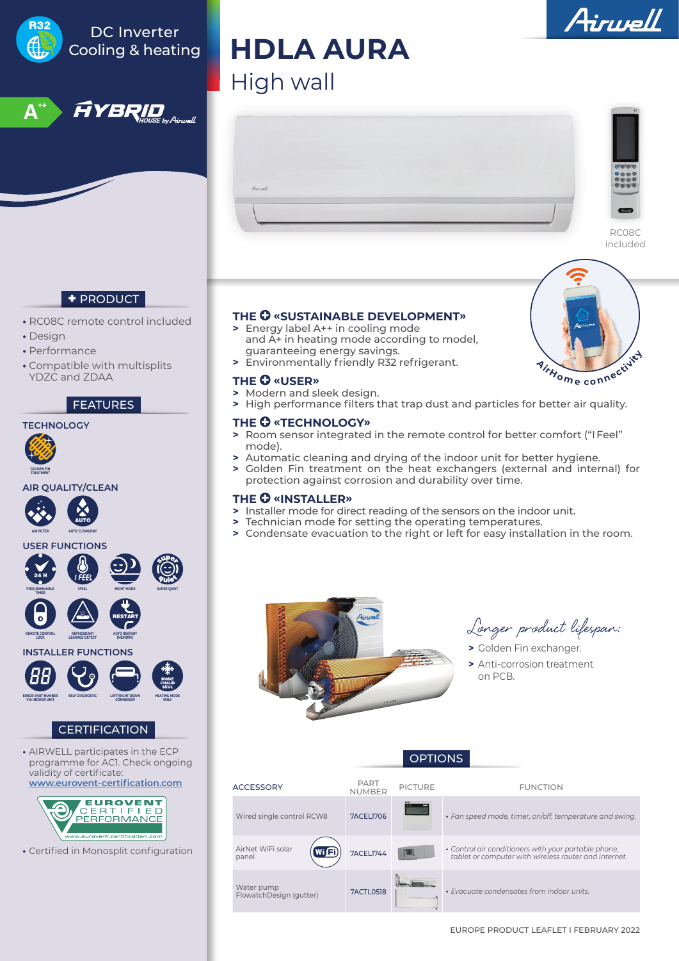

**•** Certified in Monosplit configuration

Water pump<br>FlowatchDesign (gutter) 7ACTL0518 **• Exacuate condensates from indoor units.** 

RC08C included